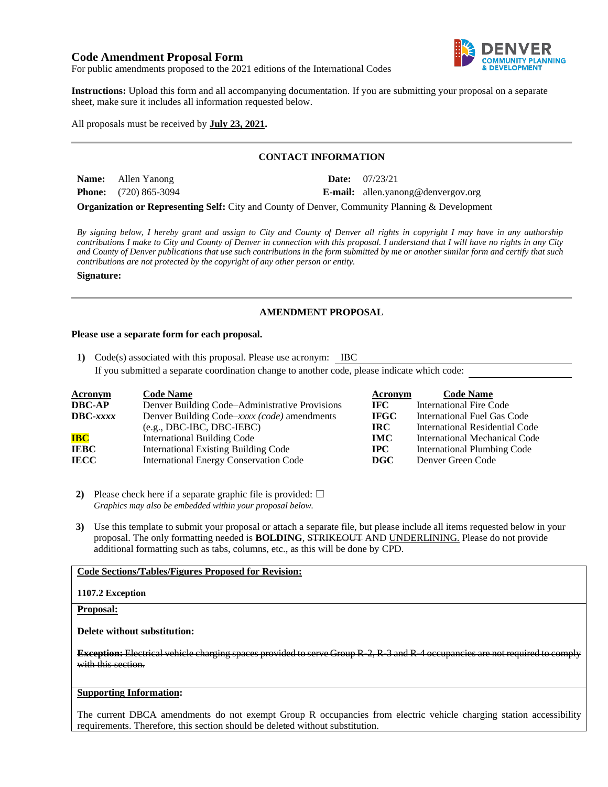# **Code Amendment Proposal Form**



For public amendments proposed to the 2021 editions of the International Codes

**Instructions:** Upload this form and all accompanying documentation. If you are submitting your proposal on a separate sheet, make sure it includes all information requested below.

## All proposals must be received by **July 23, 2021.**

## **CONTACT INFORMATION**

| <b>Name:</b> Allen Yanong      | <b>Date:</b> $07/23/21$                   |
|--------------------------------|-------------------------------------------|
| <b>Phone:</b> $(720) 865-3094$ | <b>E-mail:</b> allen.yanong@denvergov.org |

**Organization or Representing Self:** City and County of Denver, Community Planning & Development

*By signing below, I hereby grant and assign to City and County of Denver all rights in copyright I may have in any authorship contributions I make to City and County of Denver in connection with this proposal. I understand that I will have no rights in any City and County of Denver publications that use such contributions in the form submitted by me or another similar form and certify that such contributions are not protected by the copyright of any other person or entity.* 

**Signature:**

## **AMENDMENT PROPOSAL**

#### **Please use a separate form for each proposal.**

**1)** Code(s) associated with this proposal. Please use acronym: IBC

If you submitted a separate coordination change to another code, please indicate which code:

| <b>Acronym</b>    | <b>Code Name</b>                               | Acronym     | <b>Code Name</b>                     |
|-------------------|------------------------------------------------|-------------|--------------------------------------|
| <b>DBC-AP</b>     | Denver Building Code–Administrative Provisions | IFC -       | International Fire Code              |
| $\text{DBC}-xxxx$ | Denver Building Code–xxxx (code) amendments    | <b>IFGC</b> | International Fuel Gas Code          |
|                   | $(e.g., DBC-IBC, DBC-IEBC)$                    | IRC-        | International Residential Code       |
| <b>IBC</b>        | <b>International Building Code</b>             | <b>IMC</b>  | <b>International Mechanical Code</b> |
| <b>IEBC</b>       | <b>International Existing Building Code</b>    | $\bf IPC$   | <b>International Plumbing Code</b>   |
| <b>IECC</b>       | <b>International Energy Conservation Code</b>  | $\bf DGC$   | Denver Green Code                    |

**2)** Please check here if a separate graphic file is provided:  $\Box$ *Graphics may also be embedded within your proposal below.*

**3)** Use this template to submit your proposal or attach a separate file, but please include all items requested below in your proposal. The only formatting needed is **BOLDING**, STRIKEOUT AND UNDERLINING. Please do not provide additional formatting such as tabs, columns, etc., as this will be done by CPD.

# **Code Sections/Tables/Figures Proposed for Revision:**

#### **1107.2 Exception**

### **Proposal:**

**Delete without substitution:**

**Exception:** Electrical vehicle charging spaces provided to serve Group R-2, R-3 and R-4 occupancies are not required to comply with this section.

### **Supporting Information:**

The current DBCA amendments do not exempt Group R occupancies from electric vehicle charging station accessibility requirements. Therefore, this section should be deleted without substitution.